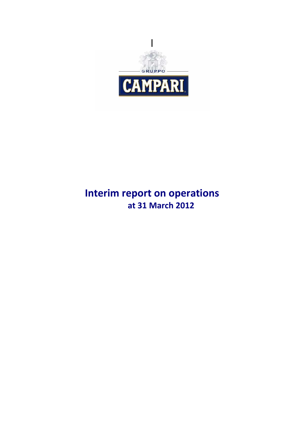

# **Interim report on operations at 31 March 2012**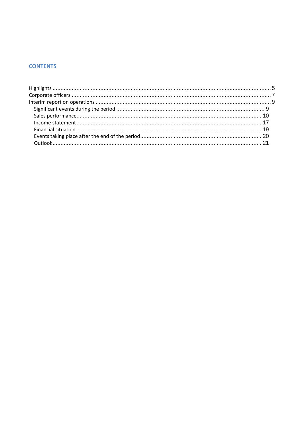## **CONTENTS**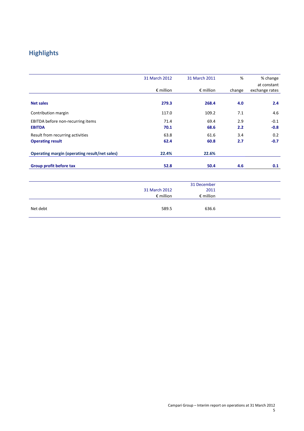## **Highlights**

|                                                      | 31 March 2012      | 31 March 2011      | %      | % change       |
|------------------------------------------------------|--------------------|--------------------|--------|----------------|
|                                                      |                    |                    |        | at constant    |
|                                                      | $\epsilon$ million | $\epsilon$ million | change | exchange rates |
|                                                      |                    |                    |        |                |
| <b>Net sales</b>                                     | 279.3              | 268.4              | 4.0    | 2.4            |
| Contribution margin                                  | 117.0              | 109.2              | 7.1    | 4.6            |
| EBITDA before non-recurring items                    | 71.4               | 69.4               | 2.9    | $-0.1$         |
| <b>EBITDA</b>                                        | 70.1               | 68.6               | 2.2    | $-0.8$         |
| Result from recurring activities                     | 63.8               | 61.6               | 3.4    | 0.2            |
| <b>Operating result</b>                              | 62.4               | 60.8               | 2.7    | $-0.7$         |
| <b>Operating margin (operating result/net sales)</b> | 22.4%              | 22.6%              |        |                |
| Group profit before tax                              | 52.8               | 50.4               | 4.6    | 0.1            |

|          |                    | 31 December        |  |
|----------|--------------------|--------------------|--|
|          | 31 March 2012      | 2011               |  |
|          | $\epsilon$ million | $\epsilon$ million |  |
|          |                    |                    |  |
| Net debt | 589.5              | 636.6              |  |
|          |                    |                    |  |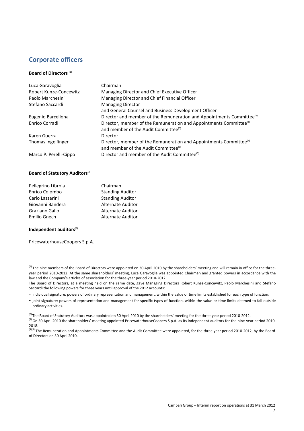## **Corporate officers**

#### **Board of Directors** (1)

| Luca Garavoglia        | Chairman                                                                                                                           |
|------------------------|------------------------------------------------------------------------------------------------------------------------------------|
| Robert Kunze-Concewitz | Managing Director and Chief Executive Officer                                                                                      |
| Paolo Marchesini       | Managing Director and Chief Financial Officer                                                                                      |
| Stefano Saccardi       | <b>Managing Director</b>                                                                                                           |
|                        | and General Counsel and Business Development Officer                                                                               |
| Eugenio Barcellona     | Director and member of the Remuneration and Appointments Committee <sup>(4)</sup>                                                  |
| Enrico Corradi         | Director, member of the Remuneration and Appointments Committee <sup>(4)</sup><br>and member of the Audit Committee <sup>(5)</sup> |
| Karen Guerra           | Director                                                                                                                           |
| Thomas Ingelfinger     | Director, member of the Remuneration and Appointments Committee <sup>(4)</sup><br>and member of the Audit Committee <sup>(5)</sup> |
| Marco P. Perelli-Cippo | Director and member of the Audit Committee <sup>(5)</sup>                                                                          |

#### **Board of Statutory Auditors**<sup>(2)</sup>

| Chairman                 |
|--------------------------|
| <b>Standing Auditor</b>  |
| <b>Standing Auditor</b>  |
| <b>Alternate Auditor</b> |
| Alternate Auditor        |
| <b>Alternate Auditor</b> |
|                          |

#### **Independent auditors**<sup>(3)</sup>

PricewaterhouseCoopers S.p.A.

<sup>(1)</sup> The nine members of the Board of Directors were appointed on 30 April 2010 by the shareholders' meeting and will remain in office for the threeyear period 2010-2012. At the same shareholders' meeting, Luca Garavoglia was appointed Chairman and granted powers in accordance with the law and the Company's articles of association for the three-year period 2010-2012.

The Board of Directors, at a meeting held on the same date, gave Managing Directors Robert Kunze-Concewitz, Paolo Marchesini and Stefano Saccardi the following powers for three years until approval of the 2012 accounts:

- individual signature: powers of ordinary representation and management, within the value or time limits established for each type of function;

- joint signature: powers of representation and management for specific types of function, within the value or time limits deemed to fall outside ordinary activities.

 $^{(2)}$  The Board of Statutory Auditors was appointed on 30 April 2010 by the shareholders' meeting for the three-year period 2010-2012.

<sup>(3)</sup> On 30 April 2010 the shareholders' meeting appointed PricewaterhouseCoopers S.p.A. as its independent auditors for the nine-year period 2010-2018.

 $\frac{(4)(5)}{5}$  The Remuneration and Appointments Committee and the Audit Committee were appointed, for the three year period 2010-2012, by the Board of Directors on 30 April 2010.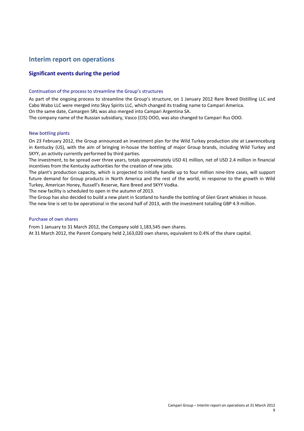## **Interim report on operations**

## **Significant events during the period**

#### Continuation of the process to streamline the Group's structures

As part of the ongoing process to streamline the Group's structure, on 1 January 2012 Rare Breed Distilling LLC and Cabo Wabo LLC were merged into Skyy Spirits LLC, which changed its trading name to Campari America. On the same date, Camargen SRL was also merged into Campari Argentina SA.

The company name of the Russian subsidiary, Vasco (CIS) OOO, was also changed to Campari Rus OOO.

#### New bottling plants

On 23 February 2012, the Group announced an investment plan for the Wild Turkey production site at Lawrenceburg in Kentucky (US), with the aim of bringing in-house the bottling of major Group brands, including Wild Turkey and SKYY, an activity currently performed by third parties.

The investment, to be spread over three years, totals approximately USD 41 million, net of USD 2.4 million in financial incentives from the Kentucky authorities for the creation of new jobs.

The plant's production capacity, which is projected to initially handle up to four million nine-litre cases, will support future demand for Group products in North America and the rest of the world, in response to the growth in Wild Turkey, American Honey, Russell's Reserve, Rare Breed and SKYY Vodka.

The new facility is scheduled to open in the autumn of 2013.

The Group has also decided to build a new plant in Scotland to handle the bottling of Glen Grant whiskies in house. The new line is set to be operational in the second half of 2013, with the investment totalling GBP 4.9 million.

#### Purchase of own shares

From 1 January to 31 March 2012, the Company sold 1,183,545 own shares.

At 31 March 2012, the Parent Company held 2,163,020 own shares, equivalent to 0.4% of the share capital.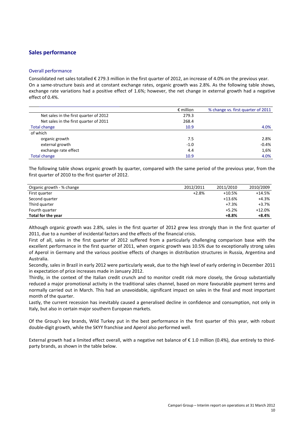#### **Sales performance**

#### Overall performance

Consolidated net sales totalled € 279.3 million in the first quarter of 2012, an increase of 4.0% on the previous year. On a same-structure basis and at constant exchange rates, organic growth was 2.8%. As the following table shows, exchange rate variations had a positive effect of 1.6%; however, the net change in external growth had a negative effect of 0.4%.

|                                        | $\epsilon$ million | % change vs. first quarter of 2011 |
|----------------------------------------|--------------------|------------------------------------|
| Net sales in the first quarter of 2012 | 279.3              |                                    |
| Net sales in the first quarter of 2011 | 268.4              |                                    |
| Total change                           | 10.9               | 4.0%                               |
| of which                               |                    |                                    |
| organic growth                         | 7.5                | 2.8%                               |
| external growth                        | $-1.0$             | $-0.4%$                            |
| exchange rate effect                   | 4.4                | 1,6%                               |
| <b>Total change</b>                    | 10.9               | 4.0%                               |

The following table shows organic growth by quarter, compared with the same period of the previous year, from the first quarter of 2010 to the first quarter of 2012.

| Organic growth - % change | 2012/2011 | 2011/2010 | 2010/2009 |
|---------------------------|-----------|-----------|-----------|
| First quarter             | $+2.8%$   | $+10.5%$  | $+14.5%$  |
| Second quarter            |           | $+13.6%$  | $+4.3%$   |
| Third quarter             |           | $+7.3%$   | +3.7%     |
| Fourth quarter            |           | $+5.2%$   | $+12.0%$  |
| Total for the year        |           | $+8.8%$   | $+8.4%$   |

Although organic growth was 2.8%, sales in the first quarter of 2012 grew less strongly than in the first quarter of 2011, due to a number of incidental factors and the effects of the financial crisis.

First of all, sales in the first quarter of 2012 suffered from a particularly challenging comparison base with the excellent performance in the first quarter of 2011, when organic growth was 10.5% due to exceptionally strong sales of Aperol in Germany and the various positive effects of changes in distribution structures in Russia, Argentina and Australia.

Secondly, sales in Brazil in early 2012 were particularly weak, due to the high level of early ordering in December 2011 in expectation of price increases made in January 2012.

Thirdly, in the context of the Italian credit crunch and to monitor credit risk more closely, the Group substantially reduced a major promotional activity in the traditional sales channel, based on more favourable payment terms and normally carried out in March. This had an unavoidable, significant impact on sales in the final and most important month of the quarter.

Lastly, the current recession has inevitably caused a generalised decline in confidence and consumption, not only in Italy, but also in certain major southern European markets.

Of the Group's key brands, Wild Turkey put in the best performance in the first quarter of this year, with robust double-digit growth, while the SKYY franchise and Aperol also performed well.

External growth had a limited effect overall, with a negative net balance of € 1.0 million (0.4%), due entirely to thirdparty brands, as shown in the table below.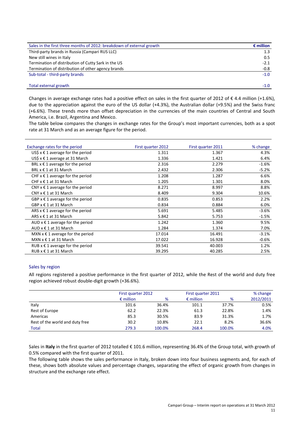| Sales in the first three months of 2012: breakdown of external growth | $\epsilon$ million |
|-----------------------------------------------------------------------|--------------------|
| Third-party brands in Russia (Campari RUS LLC)                        | 1.3                |
| New still wines in Italy                                              | 0.5                |
| Termination of distribution of Cutty Sark in the US                   | $-2.1$             |
| Termination of distribution of other agency brands                    | $-0.8$             |
| Sub-total - third-party brands                                        | $-1.0$             |
|                                                                       |                    |
| Total external growth                                                 | $-1.0$             |

Changes in average exchange rates had a positive effect on sales in the first quarter of 2012 of  $\epsilon$  4.4 million (+1.6%), due to the appreciation against the euro of the US dollar (+4.3%), the Australian dollar (+9.5%) and the Swiss franc (+6.6%). These trends more than offset depreciation in the currencies of the main countries of Central and South America, i.e. Brazil, Argentina and Mexico.

The table below compares the changes in exchange rates for the Group's most important currencies, both as a spot rate at 31 March and as an average figure for the period.

| Exchange rates for the period         | First quarter 2012 | First quarter 2011 | % change |
|---------------------------------------|--------------------|--------------------|----------|
| US\$ $x \in 1$ average for the period | 1.311              | 1.367              | 4.3%     |
| US\$ $x \notin 1$ average at 31 March | 1.336              | 1.421              | 6.4%     |
| BRL $x \in 1$ average for the period  | 2.316              | 2.279              | $-1.6%$  |
| BRL x € 1 at 31 March                 | 2.432              | 2.306              | $-5.2%$  |
| CHF $x \in 1$ average for the period  | 1.208              | 1.287              | 6.6%     |
| CHF $x \in 1$ at 31 March             | 1.205              | 1.301              | 8.0%     |
| CNY $x \in 1$ average for the period  | 8.271              | 8.997              | 8.8%     |
| CNY $x \in 1$ at 31 March             | 8.409              | 9.304              | 10.6%    |
| GBP $x \in 1$ average for the period  | 0.835              | 0.853              | 2.2%     |
| $GBP \times \epsilon 1$ at 31 March   | 0.834              | 0.884              | 6.0%     |
| ARS $x \in 1$ average for the period  | 5.691              | 5.485              | $-3.6%$  |
| ARS x € 1 at 31 March                 | 5.842              | 5.753              | $-1.5%$  |
| AUD $x \in 1$ average for the period  | 1.242              | 1.360              | 9.5%     |
| AUD $x \in 1$ at 31 March             | 1.284              | 1.374              | 7.0%     |
| MXN $x \in 1$ average for the period  | 17.014             | 16.491             | $-3.1%$  |
| $MXN \times \epsilon 1$ at 31 March   | 17.022             | 16.928             | $-0.6%$  |
| RUB $x \in 1$ average for the period  | 39.541             | 40.003             | 1.2%     |
| RUB x € 1 at 31 March                 | 39.295             | 40.285             | 2.5%     |

#### Sales by region

All regions registered a positive performance in the first quarter of 2012, while the Rest of the world and duty free region achieved robust double-digit growth (+36.6%).

|                                 | First quarter 2012 |        |                    | First quarter 2011 |           |  |
|---------------------------------|--------------------|--------|--------------------|--------------------|-----------|--|
|                                 | $\epsilon$ million | %      | $\epsilon$ million | %                  | 2012/2011 |  |
| Italy                           | 101.6              | 36.4%  | 101.1              | 37.7%              | 0.5%      |  |
| Rest of Europe                  | 62.2               | 22.3%  | 61.3               | 22.8%              | 1.4%      |  |
| Americas                        | 85.3               | 30.5%  | 83.9               | 31.3%              | 1.7%      |  |
| Rest of the world and duty free | 30.2               | 10.8%  | 22.1               | 8.2%               | 36.6%     |  |
| <b>Total</b>                    | 279.3              | 100.0% | 268.4              | 100.0%             | 4.0%      |  |

Sales in **Italy** in the first quarter of 2012 totalled € 101.6 million, representing 36.4% of the Group total, with growth of 0.5% compared with the first quarter of 2011.

The following table shows the sales performance in Italy, broken down into four business segments and, for each of these, shows both absolute values and percentage changes, separating the effect of organic growth from changes in structure and the exchange rate effect.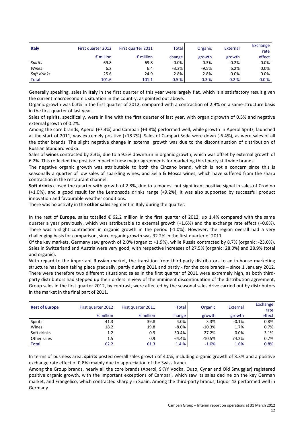| <b>Italy</b>   | First quarter 2012 | First quarter 2011 | Total   | Organic | External | Exchange<br>rate |
|----------------|--------------------|--------------------|---------|---------|----------|------------------|
|                | $\epsilon$ million | $\epsilon$ million | change  | growth  | growth   | effect           |
| <b>Spirits</b> | 69.8               | 69.8               | $0.0\%$ | 0.3%    | $-0.2%$  | 0.0%             |
| Wines          | 6.2                | 6.4                | $-3.3%$ | $-9.5%$ | 6.2%     | 0.0%             |
| Soft drinks    | 25.6               | 24.9               | 2.8%    | 2.8%    | 0.0%     | 0.0%             |
| <b>Total</b>   | 101.6              | 101.1              | 0.5%    | 0.3%    | 0.2%     | 0.0%             |

Generally speaking, sales in **Italy** in the first quarter of this year were largely flat, which is a satisfactory result given the current macroeconomic situation in the country, as pointed out above.

Organic growth was 0.3% in the first quarter of 2012, compared with a contraction of 2.9% on a same-structure basis in the first quarter of last year.

Sales of **spirits**, specifically, were in line with the first quarter of last year, with organic growth of 0.3% and negative external growth of 0.2%.

Among the core brands, Aperol (+7.3%) and Campari (+4.8%) performed well, while growth in Aperol Spritz, launched at the start of 2011, was extremely positive (+18.7%). Sales of Campari Soda were down (-6.4%), as were sales of all the other brands. The slight negative change in external growth was due to the discontinuation of distribution of Russian Standard vodka.

Sales of **wines** contracted by 3.3%, due to a 9.5% downturn in organic growth, which was offset by external growth of 6.2%. This reflected the positive impact of new major agreements for marketing third-party still wine brands.

The negative organic growth was attributable to both the Cinzano brand, which is not a concern since this is seasonally a quarter of low sales of sparkling wines, and Sella & Mosca wines, which have suffered from the sharp contraction in the restaurant channel.

**Soft drinks** closed the quarter with growth of 2.8%, due to a modest but significant positive signal in sales of Crodino (+1.0%), and a good result for the Lemonsoda drinks range (+9.2%); it was also supported by successful product innovation and favourable weather conditions.

There was no activity in the **other sales** segment in Italy during the quarter.

In the rest of **Europe**, sales totalled € 62.2 million in the first quarter of 2012, up 1.4% compared with the same quarter a year previously, which was attributable to external growth (+1.6%) and the exchange rate effect (+0.8%). There was a slight contraction in organic growth in the period (-1.0%). However, the region overall had a very challenging basis for comparison, since organic growth was 32.2% in the first quarter of 2011.

Of the key markets, Germany saw growth of 2.0% (organic: +1.9%), while Russia contracted by 8.7% (organic: -23.0%). Sales in Switzerland and Austria were very good, with respective increases of 27.5% (organic: 28.0%) and 28.9% (total and organic).

With regard to the important Russian market, the transition from third-party distributors to an in-house marketing structure has been taking place gradually, partly during 2011 and partly - for the core brands – since 1 January 2012. There were therefore two different situations: sales in the first quarter of 2011 were extremely high, as both thirdparty distributors had stepped up their orders in view of the imminent discontinuation of the distribution agreement; Group sales in the first quarter 2012, by contrast, were affected by the seasonal sales drive carried out by distributors in the market in the final part of 2011.

| <b>Rest of Europe</b> | First quarter 2012 | First quarter 2011 | <b>Total</b> | Organic  | External | Exchange<br>rate |
|-----------------------|--------------------|--------------------|--------------|----------|----------|------------------|
|                       | $\epsilon$ million | $\epsilon$ million | change       | growth   | growth   | effect           |
| <b>Spirits</b>        | 41.3               | 39.8               | 4.0%         | 3.3%     | $-0.1%$  | 0.8%             |
| Wines                 | 18.2               | 19.8               | $-8.0\%$     | $-10.3%$ | 1.7%     | 0.7%             |
| Soft drinks           | 1.2                | 0.9                | 30.4%        | 27.2%    | 0.0%     | 3.1%             |
| Other sales           | 1.5                | 0.9                | 64.4%        | $-10.5%$ | 74.2%    | 0.7%             |
| Total                 | 62.2               | 61.3               | 1.4 %        | $-1.0%$  | 1.6%     | 0.8%             |

In terms of business area, **spirits** posted overall sales growth of 4.0%, including organic growth of 3.3% and a positive exchange rate effect of 0.8% (mainly due to appreciation of the Swiss franc).

Among the Group brands, nearly all the core brands (Aperol, SKYY Vodka, Ouzo, Cynar and Old Smuggler) registered positive organic growth, with the important exceptions of Campari, which saw its sales decline on the key German market, and Frangelico, which contracted sharply in Spain. Among the third-party brands, Liquor 43 performed well in Germany.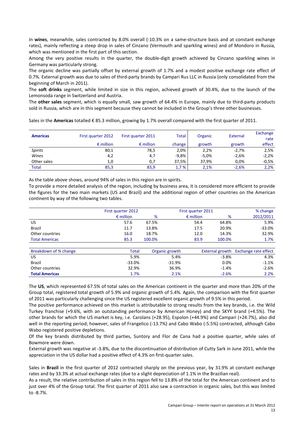In **wines**, meanwhile, sales contracted by 8.0% overall (-10.3% on a same-structure basis and at constant exchange rates), mainly reflecting a steep drop in sales of Cinzano (Vermouth and sparkling wines) and of Mondoro in Russia, which was mentioned in the first part of this section.

Among the very positive results in the quarter, the double-digit growth achieved by Cinzano sparkling wines in Germany was particularly strong.

The organic decline was partially offset by external growth of 1.7% and a modest positive exchange rate effect of 0.7%. External growth was due to sales of third-party brands by Campari Rus LLC in Russia (only consolidated from the beginning of March in 2011).

The **soft drinks** segment, while limited in size in this region, achieved growth of 30.4%, due to the launch of the Lemonsoda range in Switzerland and Austria.

The **other sales** segment, which is equally small, saw growth of 64.4% in Europe, mainly due to third-party products sold in Russia, which are in this segment because they cannot be included in the Group's three other businesses.

Sales in the **Americas** totalled € 85.3 million, growing by 1.7% overall compared with the first quarter of 2011.

| <b>Americas</b> | First quarter 2012 | First quarter 2011 | <b>Total</b> | Organic | External | Exchange |
|-----------------|--------------------|--------------------|--------------|---------|----------|----------|
|                 |                    |                    |              |         |          | rate     |
|                 | $\epsilon$ million | $\epsilon$ million | change       | growth  | growth   | effect   |
| <b>Spirits</b>  | 80,1               | 78,5               | 2,0%         | 2,2%    | $-2.7%$  | 2,5%     |
| Wines           | 4,2                | 4,7                | $-9,8%$      | $-5,0%$ | $-2,6%$  | $-2,2%$  |
| Other sales     | 1,0                | 0,7                | 37,5%        | 37.9%   | 0.0%     | $-0.5%$  |
| <b>Total</b>    | 85,3               | 83,9               | 1,7%         | 2.1%    | $-2.6%$  | 2,2%     |

As the table above shows, around 94% of sales in this region are in spirits.

To provide a more detailed analysis of the region, including by business area, it is considered more efficient to provide the figures for the two main markets (US and Brazil) and the additional region of other countries on the American continent by way of the following two tables.

|                       | First quarter 2012 |        | First quarter 2011 | % change |           |
|-----------------------|--------------------|--------|--------------------|----------|-----------|
|                       | $\epsilon$ million | %      | $\epsilon$ million | %        | 2012/2011 |
| US                    | 57.6               | 67.5%  | 54.4               | 64.8%    | 5.9%      |
| <b>Brazil</b>         | 11.7               | 13.8%  | 17.5               | 20.9%    | $-33.0%$  |
| Other countries       | 16.0               | 18.7%  | 12.0               | 14.3%    | 32.9%     |
| <b>Total Americas</b> | 85.3               | 100.0% | 83.9               | 100.0%   | 1.7%      |

| Breakdown of % change | Total    | Organic growth |         | External growth Exchange rate effect |
|-----------------------|----------|----------------|---------|--------------------------------------|
| US                    | 5.9%     | 5.4%           | $-3.8%$ | 4.3%                                 |
| <b>Brazil</b>         | $-33.0%$ | $-31.9%$       | 0.0%    | $-1.1%$                              |
| Other countries       | 32.9%    | 36.9%          | $-1.4%$ | $-2.6%$                              |
| <b>Total Americas</b> | 1.7%     | 2.1%           | $-2.6%$ | 2.2%                                 |

The **US**, which represented 67.5% of total sales on the American continent in the quarter and more than 20% of the Group total, registered total growth of 5.9% and organic growth of 5.4%. Again, the comparison with the first quarter of 2011 was particularly challenging since the US registered excellent organic growth of 9.5% in this period.

The positive performance achieved on this market is attributable to strong results from the key brands, i.e. the Wild Turkey franchise (+9.6%, with an outstanding performance by American Honey) and the SKYY brand (+4.5%). The other brands for which the US market is key, i.e. Carolans (+28.95), Espolon (+44.9%) and Campari (+24.7%), also did well in the reporting period; however, sales of Frangelico (-13.7%) and Cabo Wabo (-5.5%) contracted, although Cabo Wabo registered positive depletions.

Of the key brands distributed by third parties, Suntory and Flor de Cana had a positive quarter, while sales of Bowmore were down.

External growth was negative at -3.8%, due to the discontinuation of distribution of Cutty Sark in June 2011, while the appreciation in the US dollar had a positive effect of 4.3% on first-quarter sales.

Sales in **Brazil** in the first quarter of 2012 contracted sharply on the previous year, by 31.9% at constant exchange rates and by 33.3% at actual exchange rates (due to a slight depreciation of 1.1% in the Brazilian real).

As a result, the relative contribution of sales in this region fell to 13.8% of the total for the American continent and to just over 4% of the Group total. The first quarter of 2011 also saw a contraction in organic sales, but this was limited to -8.7%.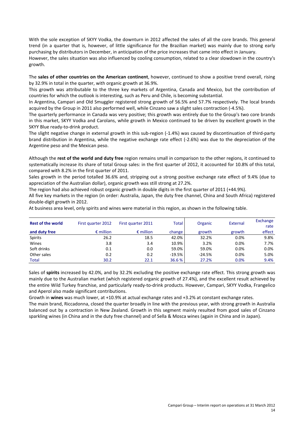With the sole exception of SKYY Vodka, the downturn in 2012 affected the sales of all the core brands. This general trend (in a quarter that is, however, of little significance for the Brazilian market) was mainly due to strong early purchasing by distributors in December, in anticipation of the price increases that came into effect in January. However, the sales situation was also influenced by cooling consumption, related to a clear slowdown in the country's

The **sales of other countries on the American continent**, however, continued to show a positive trend overall, rising by 32.9% in total in the quarter, with organic growth at 36.9%.

growth.

This growth was attributable to the three key markets of Argentina, Canada and Mexico, but the contribution of countries for which the outlook is interesting, such as Peru and Chile, is becoming substantial.

In Argentina, Campari and Old Smuggler registered strong growth of 56.5% and 57.7% respectively. The local brands acquired by the Group in 2011 also performed well, while Cinzano saw a slight sales contraction (-4.5%).

The quarterly performance in Canada was very positive; this growth was entirely due to the Group's two core brands in this market, SKYY Vodka and Carolans, while growth in Mexico continued to be driven by excellent growth in the SKYY Blue ready-to-drink product.

The slight negative change in external growth in this sub-region (-1.4%) was caused by discontinuation of third-party brand distribution in Argentina, while the negative exchange rate effect (-2.6%) was due to the depreciation of the Argentine peso and the Mexican peso.

Although the **rest of the world and duty free** region remains small in comparison to the other regions, it continued to systematically increase its share of total Group sales: in the first quarter of 2012, it accounted for 10.8% of this total, compared with 8.2% in the first quarter of 2011.

Sales growth in the period totalled 36.6% and, stripping out a strong positive exchange rate effect of 9.4% (due to appreciation of the Australian dollar), organic growth was still strong at 27.2%.

The region had also achieved robust organic growth in double digits in the first quarter of 2011 (+44.9%).

All five key markets in the region (in order: Australia, Japan, the duty free channel, China and South Africa) registered double-digit growth in 2012.

At business area level, only spirits and wines were material in this region, as shown in the following table.

| <b>Rest of the world</b> | First quarter 2012 | First quarter 2011 | <b>Total</b> | Organic  | External | Exchange<br>rate |
|--------------------------|--------------------|--------------------|--------------|----------|----------|------------------|
| and duty free            | $\epsilon$ million | $\epsilon$ million | change       | growth   | growth   | effect           |
| <b>Spirits</b>           | 26.2               | 18.5               | 42.0%        | 32.2%    | 0.0%     | 9.8%             |
| Wines                    | 3.8                | 3.4                | 10.9%        | 3.2%     | 0.0%     | 7.7%             |
| Soft drinks              | 0.1                | 0.0                | 59.0%        | 59.0%    | 0.0%     | 0.0%             |
| Other sales              | 0.2                | 0.2                | $-19.5%$     | $-24.5%$ | 0.0%     | 5.0%             |
| <b>Total</b>             | 30.2               | 22.1               | 36.6 %       | 27.2%    | 0.0%     | 9.4%             |

Sales of **spirits** increased by 42.0%, and by 32.2% excluding the positive exchange rate effect. This strong growth was mainly due to the Australian market (which registered organic growth of 27.4%), and the excellent result achieved by the entire Wild Turkey franchise, and particularly ready-to-drink products. However, Campari, SKYY Vodka, Frangelico and Aperol also made significant contributions.

Growth in **wines** was much lower, at +10.9% at actual exchange rates and +3.2% at constant exchange rates.

The main brand, Riccadonna, closed the quarter broadly in line with the previous year, with strong growth in Australia balanced out by a contraction in New Zealand. Growth in this segment mainly resulted from good sales of Cinzano sparkling wines (in China and in the duty free channel) and of Sella & Mosca wines (again in China and in Japan).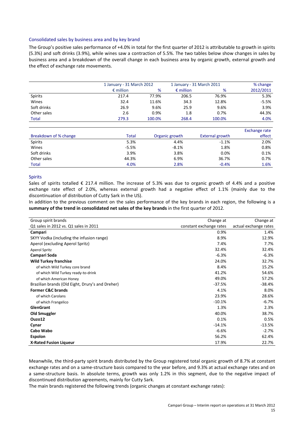#### Consolidated sales by business area and by key brand

The Group's positive sales performance of +4.0% in total for the first quarter of 2012 is attributable to growth in spirits (5.3%) and soft drinks (3.9%), while wines saw a contraction of 5.5%. The two tables below show changes in sales by business area and a breakdown of the overall change in each business area by organic growth, external growth and the effect of exchange rate movements.

|                |                    | 1 January - 31 March 2012 |                    | 1 January - 31 March 2011 |           |  |
|----------------|--------------------|---------------------------|--------------------|---------------------------|-----------|--|
|                | $\epsilon$ million | %                         | $\epsilon$ million | %                         | 2012/2011 |  |
| <b>Spirits</b> | 217.4              | 77.9%                     | 206.5              | 76.9%                     | 5.3%      |  |
| Wines          | 32.4               | 11.6%                     | 34.3               | 12.8%                     | $-5.5%$   |  |
| Soft drinks    | 26.9               | 9.6%                      | 25.9               | 9.6%                      | 3.9%      |  |
| Other sales    | 2.6                | 0.9%                      | 1.8                | 0.7%                      | 44.3%     |  |
| <b>Total</b>   | 279.3              | 100.0%                    | 268.4              | 100.0%                    | 4.0%      |  |

|                       |         |                |                        | Exchange rate |
|-----------------------|---------|----------------|------------------------|---------------|
| Breakdown of % change | Total   | Organic growth | <b>External growth</b> | effect        |
| Spirits               | 5.3%    | 4.4%           | $-1.1%$                | 2.0%          |
| Wines                 | $-5.5%$ | $-8.1%$        | 1.8%                   | 0.8%          |
| Soft drinks           | 3.9%    | 3.8%           | 0.0%                   | 0.1%          |
| Other sales           | 44.3%   | 6.9%           | 36.7%                  | 0.7%          |
| <b>Total</b>          | 4.0%    | 2.8%           | $-0.4%$                | 1.6%          |

#### Spirits

Sales of spirits totalled  $\epsilon$  217.4 million. The increase of 5.3% was due to organic growth of 4.4% and a positive exchange rate effect of 2.0%, whereas external growth had a negative effect of 1.1% (mainly due to the discontinuation of distribution of Cutty Sark in the US).

In addition to the previous comment on the sales performance of the key brands in each region, the following is a **summary of the trend in consolidated net sales of the key brands** in the first quarter of 2012.

| Group spirit brands                              | Change at               | Change at             |
|--------------------------------------------------|-------------------------|-----------------------|
| Q1 sales in 2012 vs. Q1 sales in 2011            | constant exchange rates | actual exchange rates |
| Campari                                          | 0.9%                    | 1.4%                  |
| SKYY Vodka (including the infusion range)        | 8.9%                    | 12.9%                 |
| Aperol (excluding Aperol Spritz)                 | 7.4%                    | 7.7%                  |
| <b>Aperol Spritz</b>                             | 32.4%                   | 32.4%                 |
| Campari Soda                                     | $-6.3%$                 | $-6.3%$               |
| <b>Wild Turkey franchise</b>                     | 24.0%                   | 32.7%                 |
| of which Wild Turkey core brand                  | 8.4%                    | 15.2%                 |
| of which Wild Turkey ready-to-drink              | 41.2%                   | 54.6%                 |
| of which American Honey                          | 49.0%                   | 57.2%                 |
| Brazilian brands (Old Eight, Drury's and Dreher) | $-37.5%$                | $-38.4%$              |
| <b>Former C&amp;C brands</b>                     | 4.1%                    | 8.0%                  |
| of which Carolans                                | 23.9%                   | 28.6%                 |
| of which Frangelico                              | $-10.1%$                | $-6.7%$               |
| <b>GlenGrant</b>                                 | 1.3%                    | 2.3%                  |
| <b>Old Smuggler</b>                              | 40.0%                   | 38.7%                 |
| Ouzo12                                           | 0.1%                    | 0.5%                  |
| Cynar                                            | $-14.1%$                | $-13.5%$              |
| Cabo Wabo                                        | $-6.6%$                 | $-2.7%$               |
| <b>Espolon</b>                                   | 56.2%                   | 62.4%                 |
| <b>X-Rated Fusion Liqueur</b>                    | 17.9%                   | 22.7%                 |

Meanwhile, the third-party spirit brands distributed by the Group registered total organic growth of 8.7% at constant exchange rates and on a same-structure basis compared to the year before, and 9.3% at actual exchange rates and on a same-structure basis. In absolute terms, growth was only 1.2% in this segment, due to the negative impact of discontinued distribution agreements, mainly for Cutty Sark.

The main brands registered the following trends (organic changes at constant exchange rates):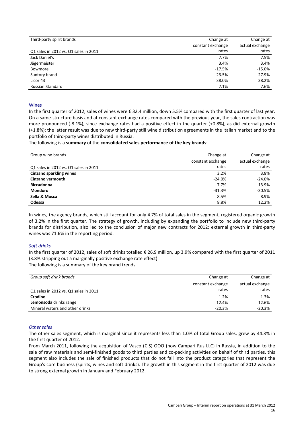| Third-party spirit brands             | Change at         | Change at       |
|---------------------------------------|-------------------|-----------------|
|                                       | constant exchange | actual exchange |
| Q1 sales in 2012 vs. Q1 sales in 2011 | rates             | rates           |
| Jack Daniel's                         | 7.7%              | 7.5%            |
| Jägermeister                          | 3.4%              | 3.4%            |
| Bowmore                               | $-17.5%$          | $-15.0\%$       |
| Suntory brand                         | 23.5%             | 27.9%           |
| Licor 43                              | 38.0%             | 38.2%           |
| <b>Russian Standard</b>               | 7.1%              | 7.6%            |

#### Wines

In the first quarter of 2012, sales of wines were € 32.4 million, down 5.5% compared with the first quarter of last year. On a same-structure basis and at constant exchange rates compared with the previous year, the sales contraction was more pronounced (-8.1%), since exchange rates had a positive effect in the quarter (+0.8%), as did external growth (+1.8%); the latter result was due to new third-party still wine distribution agreements in the Italian market and to the portfolio of third-party wines distributed in Russia.

The following is a **summary** of the **consolidated sales performance of the key brands**:

| Group wine brands                     | Change at         | Change at       |
|---------------------------------------|-------------------|-----------------|
|                                       | constant exchange | actual exchange |
| Q1 sales in 2012 vs. Q1 sales in 2011 | rates             | rates           |
| <b>Cinzano sparkling wines</b>        | 3.2%              | 3.8%            |
| Cinzano vermouth                      | $-24.0%$          | $-24.0%$        |
| Riccadonna                            | 7.7%              | 13.9%           |
| <b>Mondoro</b>                        | $-31.3%$          | $-30.5%$        |
| Sella & Mosca                         | 8.5%              | 8.9%            |
| Odessa                                | 8.8%              | 12.2%           |

In wines, the agency brands, which still account for only 4.7% of total sales in the segment, registered organic growth of 3.2% in the first quarter. The strategy of growth, including by expanding the portfolio to include new third-party brands for distribution, also led to the conclusion of major new contracts for 2012: external growth in third-party wines was 71.6% in the reporting period.

#### *Soft drinks*

In the first quarter of 2012, sales of soft drinks totalled € 26.9 million, up 3.9% compared with the first quarter of 2011 (3.8% stripping out a marginally positive exchange rate effect).

The following is a summary of the key brand trends.

| Group soft drink brands               | Change at         | Change at       |
|---------------------------------------|-------------------|-----------------|
|                                       | constant exchange | actual exchange |
| Q1 sales in 2012 vs. Q1 sales in 2011 | rates             | rates           |
| Crodino                               | 1.2%              | 1.3%            |
| Lemonsoda drinks range                | 12.4%             | 12.6%           |
| Mineral waters and other drinks       | $-20.3%$          | $-20.3%$        |

#### *Other sales*

The other sales segment, which is marginal since it represents less than 1.0% of total Group sales, grew by 44.3% in the first quarter of 2012.

From March 2011, following the acquisition of Vasco (CIS) OOO (now Campari Rus LLC) in Russia, in addition to the sale of raw materials and semi-finished goods to third parties and co-packing activities on behalf of third parties, this segment also includes the sale of finished products that do not fall into the product categories that represent the Group's core business (spirits, wines and soft drinks). The growth in this segment in the first quarter of 2012 was due to strong external growth in January and February 2012.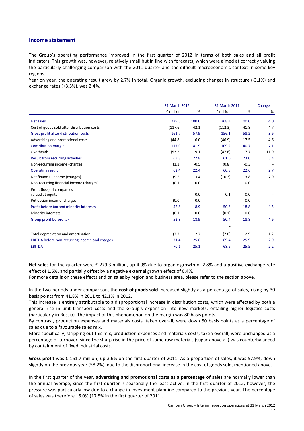#### **Income statement**

The Group's operating performance improved in the first quarter of 2012 in terms of both sales and all profit indicators. This growth was, however, relatively small but in line with forecasts, which were aimed at correctly valuing the particularly challenging comparison with the 2011 quarter and the difficult macroeconomic context in some key regions.

Year on year, the operating result grew by 2.7% in total. Organic growth, excluding changes in structure (-3.1%) and exchange rates (+3.3%), was 2.4%.

|                                                | 31 March 2012      |         | 31 March 2011      |         | Change |
|------------------------------------------------|--------------------|---------|--------------------|---------|--------|
|                                                | $\epsilon$ million | %       | $\epsilon$ million | %       | %      |
| Net sales                                      | 279.3              | 100.0   | 268.4              | 100.0   | 4.0    |
| Cost of goods sold after distribution costs    | (117.6)            | $-42.1$ | (112.3)            | $-41.8$ | 4.7    |
| Gross profit after distribution costs          | 161.7              | 57.9    | 156.1              | 58.2    | 3.6    |
| Advertising and promotional costs              | (44.8)             | $-16.0$ | (46.9)             | $-17.5$ | $-4.6$ |
| Contribution margin                            | 117.0              | 41.9    | 109.2              | 40.7    | 7.1    |
| Overheads                                      | (53.2)             | $-19.1$ | (47.6)             | $-17.7$ | 11.9   |
| Result from recurring activities               | 63.8               | 22.8    | 61.6               | 23.0    | 3.4    |
| Non-recurring income (charges)                 | (1.3)              | $-0.5$  | (0.8)              | $-0.3$  |        |
| <b>Operating result</b>                        | 62.4               | 22.4    | 60.8               | 22.6    | 2.7    |
| Net financial income (charges)                 | (9.5)              | $-3.4$  | (10.3)             | $-3.8$  | $-7.9$ |
| Non-recurring financial income (charges)       | (0.1)              | 0.0     |                    | 0.0     |        |
| Profit (loss) of companies<br>valued at equity |                    | 0.0     | 0.1                | 0.0     |        |
| Put option income (charges)                    | (0.0)              | 0.0     |                    | 0.0     |        |
| Profit before tax and minority interests       | 52.8               | 18.9    | 50.6               | 18.8    | 4.5    |
| Minority interests                             | (0.1)              | 0.0     | (0.1)              | 0.0     |        |
| Group profit before tax                        | 52.8               | 18.9    | 50.4               | 18.8    | 4.6    |
|                                                |                    |         |                    |         |        |
| Total depreciation and amortisation            | (7.7)              | $-2.7$  | (7.8)              | $-2.9$  | $-1.2$ |
| EBITDA before non-recurring income and charges | 71.4               | 25.6    | 69.4               | 25.9    | 2.9    |
| <b>EBITDA</b>                                  | 70.1               | 25.1    | 68.6               | 25.5    | 2.2    |

**Net sales** for the quarter were € 279.3 million, up 4.0% due to organic growth of 2.8% and a positive exchange rate effect of 1.6%, and partially offset by a negative external growth effect of 0.4%.

For more details on these effects and on sales by region and business area, please refer to the section above.

In the two periods under comparison, the **cost of goods sold** increased slightly as a percentage of sales, rising by 30 basis points from 41.8% in 2011 to 42.1% in 2012.

This increase is entirely attributable to a disproportional increase in distribution costs, which were affected by both a general rise in unit transport costs and the Group's expansion into new markets, entailing higher logistics costs (particularly in Russia). The impact of this phenomenon on the margin was 80 basis points.

By contrast, production expenses and materials costs, taken overall, were down 50 basis points as a percentage of sales due to a favourable sales mix.

More specifically, stripping out this mix, production expenses and materials costs, taken overall, were unchanged as a percentage of turnover, since the sharp rise in the price of some raw materials (sugar above all) was counterbalanced by containment of fixed industrial costs.

**Gross profit** was € 161.7 million, up 3.6% on the first quarter of 2011. As a proportion of sales, it was 57.9%, down slightly on the previous year (58.2%), due to the disproportional increase in the cost of goods sold, mentioned above.

In the first quarter of the year, **advertising and promotional costs as a percentage of sales** are normally lower than the annual average, since the first quarter is seasonally the least active. In the first quarter of 2012, however, the pressure was particularly low due to a change in investment planning compared to the previous year. The percentage of sales was therefore 16.0% (17.5% in the first quarter of 2011).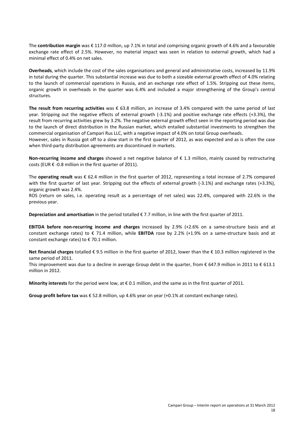The **contribution margin** was € 117.0 million, up 7.1% in total and comprising organic growth of 4.6% and a favourable exchange rate effect of 2.5%. However, no material impact was seen in relation to external growth, which had a minimal effect of 0.4% on net sales.

**Overheads**, which include the cost of the sales organisations and general and administrative costs, increased by 11.9% in total during the quarter. This substantial increase was due to both a sizeable external growth effect of 4.0% relating to the launch of commercial operations in Russia, and an exchange rate effect of 1.5%. Stripping out these items, organic growth in overheads in the quarter was 6.4% and included a major strengthening of the Group's central structures.

**The result from recurring activities** was € 63.8 million, an increase of 3.4% compared with the same period of last year. Stripping out the negative effects of external growth (-3.1%) and positive exchange rate effects (+3.3%), the result from recurring activities grew by 3.2%. The negative external growth effect seen in the reporting period was due to the launch of direct distribution in the Russian market, which entailed substantial investments to strengthen the commercial organisation of Campari Rus LLC, with a negative impact of 4.0% on total Group overheads.

However, sales in Russia got off to a slow start in the first quarter of 2012, as was expected and as is often the case when third-party distribution agreements are discontinued in markets.

**Non-recurring income and charges** showed a net negative balance of € 1.3 million, mainly caused by restructuring costs (EUR € -0.8 million in the first quarter of 2011).

The **operating result** was € 62.4 million in the first quarter of 2012, representing a total increase of 2.7% compared with the first quarter of last year. Stripping out the effects of external growth (-3.1%) and exchange rates (+3.3%), organic growth was 2.4%.

ROS (return on sales, i.e. operating result as a percentage of net sales) was 22.4%, compared with 22.6% in the previous year.

**Depreciation and amortisation** in the period totalled € 7.7 million, in line with the first quarter of 2011.

**EBITDA before non-recurring income and charges** increased by 2.9% (+2.6% on a same-structure basis and at constant exchange rates) to € 71.4 million, while **EBITDA** rose by 2.2% (+1.9% on a same-structure basis and at constant exchange rates) to  $\epsilon$  70.1 million.

**Net financial charges** totalled € 9.5 million in the first quarter of 2012, lower than the € 10.3 million registered in the same period of 2011.

This improvement was due to a decline in average Group debt in the quarter, from  $\epsilon$  647.9 million in 2011 to  $\epsilon$  613.1 million in 2012.

**Minority interests** for the period were low, at  $\epsilon$  0.1 million, and the same as in the first quarter of 2011.

**Group profit before tax** was € 52.8 million, up 4.6% year on year (+0.1% at constant exchange rates).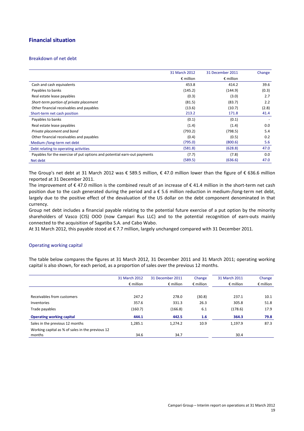## **Financial situation**

#### Breakdown of net debt

|                                                                          | 31 March 2012      | 31 December 2011   | Change |
|--------------------------------------------------------------------------|--------------------|--------------------|--------|
|                                                                          | $\epsilon$ million | $\epsilon$ million |        |
| Cash and cash equivalents                                                | 453.8              | 414.2              | 39.6   |
| Payables to banks                                                        | (145.2)            | (144.9)            | (0.3)  |
| Real estate lease payables                                               | (0.3)              | (3.0)              | 2.7    |
| Short-term portion of private placement                                  | (81.5)             | (83.7)             | 2.2    |
| Other financial receivables and payables                                 | (13.6)             | (10.7)             | (2.8)  |
| Short-term net cash position                                             | 213.2              | 171.8              | 41.4   |
| Payables to banks                                                        | (0.1)              | (0.1)              |        |
| Real estate lease payables                                               | (1.4)              | (1.4)              | 0.0    |
| Private placement and bond                                               | (793.2)            | (798.5)            | 5.4    |
| Other financial receivables and payables                                 | (0.4)              | (0.5)              | 0.2    |
| Medium-/long-term net debt                                               | (795.0)            | (800.6)            | 5.6    |
| Debt relating to operating activities                                    | (581.8)            | (628.8)            | 47.0   |
| Payables for the exercise of put options and potential earn-out payments | (7.7)              | (7.8)              | 0.0    |
| Net debt                                                                 | (589.5)            | (636.6)            | 47.0   |

The Group's net debt at 31 March 2012 was € 589.5 million, € 47.0 million lower than the figure of € 636.6 million reported at 31 December 2011.

The improvement of  $\epsilon$  47.0 million is the combined result of an increase of  $\epsilon$  41.4 million in the short-term net cash position due to the cash generated during the period and a € 5.6 million reduction in medium-/long-term net debt, largely due to the positive effect of the devaluation of the US dollar on the debt component denominated in that currency.

Group net debt includes a financial payable relating to the potential future exercise of a put option by the minority shareholders of Vasco (CIS) OOO (now Campari Rus LLC) and to the potential recognition of earn-outs mainly connected to the acquisition of Sagatiba S.A. and Cabo Wabo.

At 31 March 2012, this payable stood at € 7.7 million, largely unchanged compared with 31 December 2011.

#### Operating working capital

The table below compares the figures at 31 March 2012, 31 December 2011 and 31 March 2011; operating working capital is also shown, for each period, as a proportion of sales over the previous 12 months.

|                                                  | 31 March 2012      | 31 December 2011   | Change             | 31 March 2011      | Change             |
|--------------------------------------------------|--------------------|--------------------|--------------------|--------------------|--------------------|
|                                                  | $\epsilon$ million | $\epsilon$ million | $\epsilon$ million | $\epsilon$ million | $\epsilon$ million |
|                                                  |                    |                    |                    |                    |                    |
| Receivables from customers                       | 247.2              | 278.0              | (30.8)             | 237.1              | 10.1               |
| Inventories                                      | 357.6              | 331.3              | 26.3               | 305.8              | 51.8               |
| Trade payables                                   | (160.7)            | (166.8)            | 6.1                | (178.6)            | 17.9               |
| <b>Operating working capital</b>                 | 444.1              | 442.5              | 1.6                | 364.3              | 79.8               |
| Sales in the previous 12 months                  | 1,285.1            | 1.274.2            | 10.9               | 1.197.9            | 87.3               |
| Working capital as % of sales in the previous 12 |                    |                    |                    |                    |                    |
| months                                           | 34.6               | 34.7               |                    | 30.4               |                    |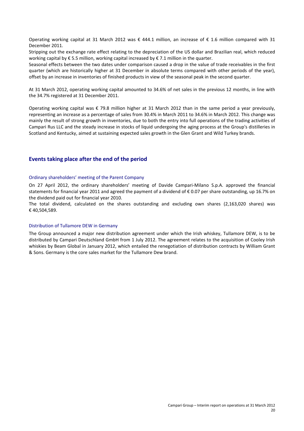Operating working capital at 31 March 2012 was € 444.1 million, an increase of € 1.6 million compared with 31 December 2011.

Stripping out the exchange rate effect relating to the depreciation of the US dollar and Brazilian real, which reduced working capital by € 5.5 million, working capital increased by € 7.1 million in the quarter.

Seasonal effects between the two dates under comparison caused a drop in the value of trade receivables in the first quarter (which are historically higher at 31 December in absolute terms compared with other periods of the year), offset by an increase in inventories of finished products in view of the seasonal peak in the second quarter.

At 31 March 2012, operating working capital amounted to 34.6% of net sales in the previous 12 months, in line with the 34.7% registered at 31 December 2011.

Operating working capital was € 79.8 million higher at 31 March 2012 than in the same period a year previously, representing an increase as a percentage of sales from 30.4% in March 2011 to 34.6% in March 2012. This change was mainly the result of strong growth in inventories, due to both the entry into full operations of the trading activities of Campari Rus LLC and the steady increase in stocks of liquid undergoing the aging process at the Group's distilleries in Scotland and Kentucky, aimed at sustaining expected sales growth in the Glen Grant and Wild Turkey brands.

### **Events taking place after the end of the period**

#### Ordinary shareholders' meeting of the Parent Company

On 27 April 2012, the ordinary shareholders' meeting of Davide Campari-Milano S.p.A. approved the financial statements for financial year 2011 and agreed the payment of a dividend of € 0.07 per share outstanding, up 16.7% on the dividend paid out for financial year 2010.

The total dividend, calculated on the shares outstanding and excluding own shares (2,163,020 shares) was € 40,504,589.

#### Distribution of Tullamore DEW in Germany

The Group announced a major new distribution agreement under which the Irish whiskey, Tullamore DEW, is to be distributed by Campari Deutschland GmbH from 1 July 2012. The agreement relates to the acquisition of Cooley Irish whiskies by Beam Global in January 2012, which entailed the renegotiation of distribution contracts by William Grant & Sons. Germany is the core sales market for the Tullamore Dew brand.